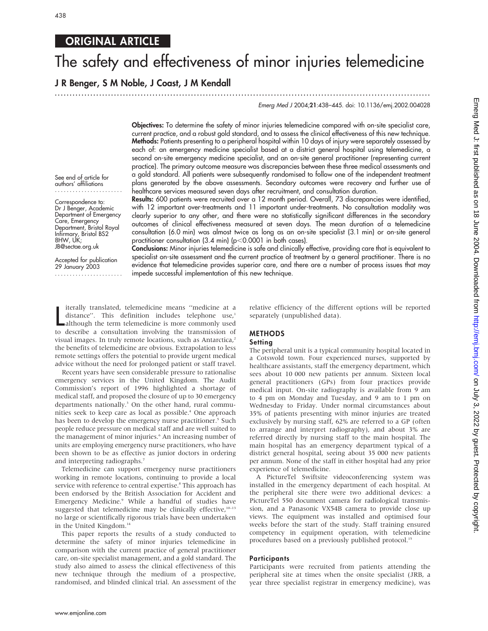## **ORIGINAL ARTICLE**

# The safety and effectiveness of minor injuries telemedicine

...............................................................................................................................

J R Benger, S M Noble, J Coast, J M Kendall

Emerg Med J 2004;21:438–445. doi: 10.1136/emj.2002.004028

Objectives: To determine the safety of minor injuries telemedicine compared with on-site specialist care, current practice, and a robust gold standard, and to assess the clinical effectiveness of this new technique. Methods: Patients presenting to a peripheral hospital within 10 days of injury were separately assessed by each of: an emergency medicine specialist based at a district general hospital using telemedicine, a second on-site emergency medicine specialist, and an on-site general practitioner (representing current practice). The primary outcome measure was discrepancies between these three medical assessments and a gold standard. All patients were subsequently randomised to follow one of the independent treatment plans generated by the above assessments. Secondary outcomes were recovery and further use of healthcare services measured seven days after recruitment, and consultation duration.

Results: 600 patients were recruited over a 12 month period. Overall, 73 discrepancies were identified, with 12 important over-treatments and 11 important under-treatments. No consultation modality was clearly superior to any other, and there were no statistically significant differences in the secondary outcomes of clinical effectiveness measured at seven days. The mean duration of a telemedicine

See end of article for authors' affiliations .......................

Correspondence to: Dr J Benger, Academic Department of Emergency Care, Emergency Department, Bristol Royal Infirmary, Bristol BS2 8HW, UK; JB@sectae.org.uk

Accepted for publication 29 January 2003 ....................... consultation (6.0 min) was almost twice as long as an on-site specialist (3.1 min) or on-site general practitioner consultation (3.4 min) ( $p<$  0.0001 in both cases). Conclusions: Minor injuries telemedicine is safe and clinically effective, providing care that is equivalent to specialist on-site assessment and the current practice of treatment by a general practitioner. There is no evidence that telemedicine provides superior care, and there are a number of process issues that may

Iterally translated, telemedicine means "medicine at a distance". This definition includes telephone use,<br>although the term telemedicine is more commonly used<br>to describe a consultation involving the transmission of iterally translated, telemedicine means ''medicine at a distance". This definition includes telephone use,<sup>1</sup> although the term telemedicine is more commonly used visual images. In truly remote locations, such as Antarctica,<sup>2</sup> the benefits of telemedicine are obvious. Extrapolation to less remote settings offers the potential to provide urgent medical advice without the need for prolonged patient or staff travel.

Recent years have seen considerable pressure to rationalise emergency services in the United Kingdom. The Audit Commission's report of 1996 highlighted a shortage of medical staff, and proposed the closure of up to 30 emergency departments nationally.<sup>3</sup> On the other hand, rural communities seek to keep care as local as possible.<sup>4</sup> One approach has been to develop the emergency nurse practitioner.<sup>5</sup> Such people reduce pressure on medical staff and are well suited to the management of minor injuries.<sup>6</sup> An increasing number of units are employing emergency nurse practitioners, who have been shown to be as effective as junior doctors in ordering and interpreting radiographs.7

Telemedicine can support emergency nurse practitioners working in remote locations, continuing to provide a local service with reference to central expertise.<sup>8</sup> This approach has been endorsed by the British Association for Accident and Emergency Medicine.<sup>9</sup> While a handful of studies have suggested that telemedicine may be clinically effective,<sup>10-13</sup> no large or scientifically rigorous trials have been undertaken in the United Kingdom.<sup>14</sup>

This paper reports the results of a study conducted to determine the safety of minor injuries telemedicine in comparison with the current practice of general practitioner care, on-site specialist management, and a gold standard. The study also aimed to assess the clinical effectiveness of this new technique through the medium of a prospective, randomised, and blinded clinical trial. An assessment of the relative efficiency of the different options will be reported separately (unpublished data).

## **METHODS**

#### **Setting**

impede successful implementation of this new technique.

The peripheral unit is a typical community hospital located in a Cotswold town. Four experienced nurses, supported by healthcare assistants, staff the emergency department, which sees about 10 000 new patients per annum. Sixteen local general practitioners (GPs) from four practices provide medical input. On-site radiography is available from 9 am to 4 pm on Monday and Tuesday, and 9 am to 1 pm on Wednesday to Friday. Under normal circumstances about 35% of patients presenting with minor injuries are treated exclusively by nursing staff, 62% are referred to a GP (often to arrange and interpret radiography), and about 3% are referred directly by nursing staff to the main hospital. The main hospital has an emergency department typical of a district general hospital, seeing about 35 000 new patients per annum. None of the staff in either hospital had any prior experience of telemedicine.

A PictureTel Swiftsite videoconferencing system was installed in the emergency department of each hospital. At the peripheral site there were two additional devices: a PictureTel 550 document camera for radiological transmission, and a Panasonic VX54B camera to provide close up views. The equipment was installed and optimised four weeks before the start of the study. Staff training ensured competency in equipment operation, with telemedicine procedures based on a previously published protocol.<sup>15</sup>

#### **Participants**

Participants were recruited from patients attending the peripheral site at times when the onsite specialist (JRB, a year three specialist registrar in emergency medicine), was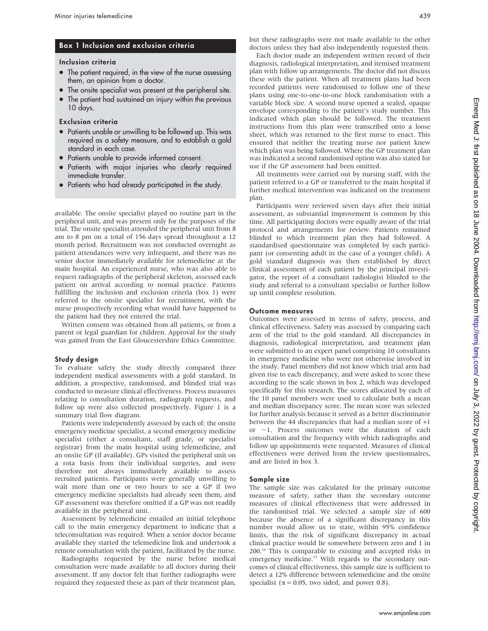## Box 1 Inclusion and exclusion criteria

#### Inclusion criteria

- The patient required, in the view of the nurse assessing them, an opinion from a doctor.
- The onsite specialist was present at the peripheral site.
- The patient had sustained an injury within the previous 10 days.

#### Exclusion criteria

- Patients unable or unwilling to be followed up. This was required as a safety measure, and to establish a gold standard in each case.
- Patients unable to provide informed consent.
- Patients with major injuries who clearly required immediate transfer.
- Patients who had already participated in the study.

available. The onsite specialist played no routine part in the peripheral unit, and was present only for the purposes of the trial. The onsite specialist attended the peripheral unit from 8 am to 8 pm on a total of 156 days spread throughout a 12 month period. Recruitment was not conducted overnight as patient attendances were very infrequent, and there was no senior doctor immediately available for telemedicine at the main hospital. An experienced nurse, who was also able to request radiographs of the peripheral skeleton, assessed each patient on arrival according to normal practice. Patients fulfilling the inclusion and exclusion criteria (box 1) were referred to the onsite specialist for recruitment, with the nurse prospectively recording what would have happened to the patient had they not entered the trial.

Written consent was obtained from all patients, or from a parent or legal guardian for children. Approval for the study was gained from the East Gloucestershire Ethics Committee.

#### Study design

To evaluate safety the study directly compared three independent medical assessments with a gold standard. In addition, a prospective, randomised, and blinded trial was conducted to measure clinical effectiveness. Process measures relating to consultation duration, radiograph requests, and follow up were also collected prospectively. Figure 1 is a summary trial flow diagram.

Patients were independently assessed by each of: the onsite emergency medicine specialist, a second emergency medicine specialist (either a consultant, staff grade, or specialist registrar) from the main hospital using telemedicine, and an onsite GP (if available). GPs visited the peripheral unit on a rota basis from their individual surgeries, and were therefore not always immediately available to assess recruited patients. Participants were generally unwilling to wait more than one or two hours to see a GP if two emergency medicine specialists had already seen them, and GP assessment was therefore omitted if a GP was not readily available in the peripheral unit.

Assessment by telemedicine entailed an initial telephone call to the main emergency department to indicate that a teleconsultation was required. When a senior doctor became available they started the telemedicine link and undertook a remote consultation with the patient, facilitated by the nurse.

Radiographs requested by the nurse before medical consultation were made available to all doctors during their assessment. If any doctor felt that further radiographs were required they requested these as part of their treatment plan, but these radiographs were not made available to the other doctors unless they had also independently requested them.

Each doctor made an independent written record of their diagnosis, radiological interpretation, and itemised treatment plan with follow up arrangements. The doctor did not discuss these with the patient. When all treatment plans had been recorded patients were randomised to follow one of these plans using one-to-one-to-one block randomisation with a variable block size. A second nurse opened a sealed, opaque envelope corresponding to the patient's study number. This indicated which plan should be followed. The treatment instructions from this plan were transcribed onto a loose sheet, which was returned to the first nurse to enact. This ensured that neither the treating nurse nor patient knew which plan was being followed. Where the GP treatment plan was indicated a second randomised option was also stated for use if the GP assessment had been omitted.

All treatments were carried out by nursing staff, with the patient referred to a GP or transferred to the main hospital if further medical intervention was indicated on the treatment plan.

Participants were reviewed seven days after their initial assessment, as substantial improvement is common by this time. All participating doctors were equally aware of the trial protocol and arrangements for review. Patients remained blinded to which treatment plan they had followed. A standardised questionnaire was completed by each participant (or consenting adult in the case of a younger child). A gold standard diagnosis was then established by direct clinical assessment of each patient by the principal investigator, the report of a consultant radiologist blinded to the study and referral to a consultant specialist or further follow up until complete resolution.

#### Outcome measures

Outcomes were assessed in terms of safety, process, and clinical effectiveness. Safety was assessed by comparing each arm of the trial to the gold standard. All discrepancies in diagnosis, radiological interpretation, and treatment plan were submitted to an expert panel comprising 10 consultants in emergency medicine who were not otherwise involved in the study. Panel members did not know which trial arm had given rise to each discrepancy, and were asked to score these according to the scale shown in box 2, which was developed specifically for this research. The scores allocated by each of the 10 panel members were used to calculate both a mean and median discrepancy score. The mean score was selected for further analysis because it served as a better discriminator between the 44 discrepancies that had a median score of +1 or -1. Process outcomes were the duration of each consultation and the frequency with which radiographs and follow up appointments were requested. Measures of clinical effectiveness were derived from the review questionnaires, and are listed in box 3.

#### Sample size

The sample size was calculated for the primary outcome measure of safety, rather than the secondary outcome measures of clinical effectiveness that were addressed in the randomised trial. We selected a sample size of 600 because the absence of a significant discrepancy in this number would allow us to state, within 95% confidence limits, that the risk of significant discrepancy in actual clinical practice would lie somewhere between zero and 1 in 200.16 This is comparable to existing and accepted risks in emergency medicine.<sup>17</sup> With regards to the secondary outcomes of clinical effectiveness, this sample size is sufficient to detect a 12% difference between telemedicine and the onsite specialist ( $\alpha$  = 0.05, two sided, and power 0.8).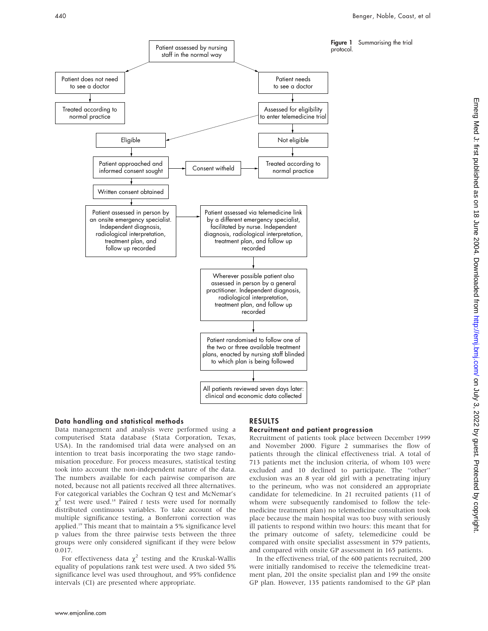

#### Data handling and statistical methods

Data management and analysis were performed using a computerised Stata database (Stata Corporation, Texas, USA). In the randomised trial data were analysed on an intention to treat basis incorporating the two stage randomisation procedure. For process measures, statistical testing took into account the non-independent nature of the data. The numbers available for each pairwise comparison are noted, because not all patients received all three alternatives. For categorical variables the Cochran Q test and McNemar's  $\chi^2$  test were used.<sup>18</sup> Paired t tests were used for normally distributed continuous variables. To take account of the multiple significance testing, a Bonferroni correction was applied.19 This meant that to maintain a 5% significance level p values from the three pairwise tests between the three groups were only considered significant if they were below 0.017.

For effectiveness data  $\chi^2$  testing and the Kruskal-Wallis equality of populations rank test were used. A two sided 5% significance level was used throughout, and 95% confidence intervals (CI) are presented where appropriate.

## RESULTS

#### Recruitment and patient progression

Recruitment of patients took place between December 1999 and November 2000. Figure 2 summarises the flow of patients through the clinical effectiveness trial. A total of 713 patients met the inclusion criteria, of whom 103 were excluded and 10 declined to participate. The ''other'' exclusion was an 8 year old girl with a penetrating injury to the perineum, who was not considered an appropriate candidate for telemedicine. In 21 recruited patients (11 of whom were subsequently randomised to follow the telemedicine treatment plan) no telemedicine consultation took place because the main hospital was too busy with seriously ill patients to respond within two hours: this meant that for the primary outcome of safety, telemedicine could be compared with onsite specialist assessment in 579 patients, and compared with onsite GP assessment in 165 patients.

In the effectiveness trial, of the 600 patients recruited, 200 were initially randomised to receive the telemedicine treatment plan, 201 the onsite specialist plan and 199 the onsite GP plan. However, 135 patients randomised to the GP plan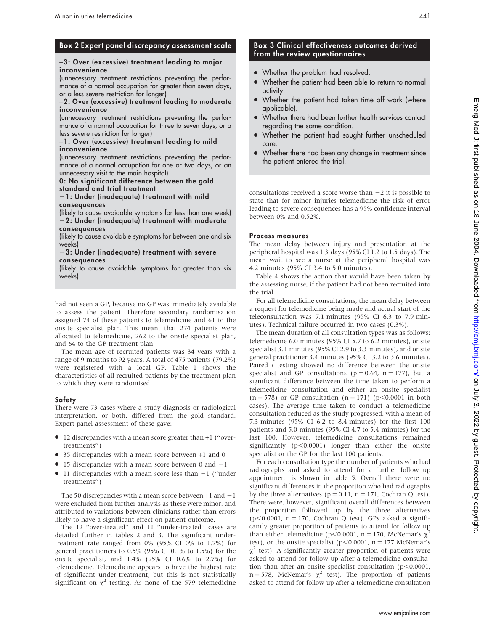## Box 2 Expert panel discrepancy assessment scale

#### +3: Over (excessive) treatment leading to major inconvenience

(unnecessary treatment restrictions preventing the performance of a normal occupation for greater than seven days, or a less severe restriction for longer)

#### +2: Over (excessive) treatment leading to moderate inconvenience

(unnecessary treatment restrictions preventing the performance of a normal occupation for three to seven days, or a less severe restriction for longer)

#### +1: Over (excessive) treatment leading to mild inconvenience

(unnecessary treatment restrictions preventing the performance of a normal occupation for one or two days, or an unnecessary visit to the main hospital)

#### 0: No significant difference between the gold standard and trial treatment

 $-1$ : Under (inadequate) treatment with mild consequences

(likely to cause avoidable symptoms for less than one week)  $-2$ : Under (inadequate) treatment with moderate consequences

(likely to cause avoidable symptoms for between one and six weeks)

#### $-3$ : Under (inadequate) treatment with severe consequences

(likely to cause avoidable symptoms for greater than six weeks)

had not seen a GP, because no GP was immediately available to assess the patient. Therefore secondary randomisation assigned 74 of these patients to telemedicine and 61 to the onsite specialist plan. This meant that 274 patients were allocated to telemedicine, 262 to the onsite specialist plan, and 64 to the GP treatment plan.

The mean age of recruited patients was 34 years with a range of 9 months to 92 years. A total of 475 patients (79.2%) were registered with a local GP. Table 1 shows the characteristics of all recruited patients by the treatment plan to which they were randomised.

## Safety

There were 73 cases where a study diagnosis or radiological interpretation, or both, differed from the gold standard. Expert panel assessment of these gave:

- N 12 discrepancies with a mean score greater than <sup>+</sup>1 (''overtreatments'')
- 35 discrepancies with a mean score between +1 and 0
- $\bullet$  15 discrepancies with a mean score between 0 and  $-1$
- $\bullet$  11 discrepancies with a mean score less than  $-1$  ("under treatments'')

The 50 discrepancies with a mean score between  $+1$  and  $-1$ were excluded from further analysis as these were minor, and attributed to variations between clinicians rather than errors likely to have a significant effect on patient outcome.

The 12 ''over-treated'' and 11 ''under-treated'' cases are detailed further in tables 2 and 3. The significant undertreatment rate ranged from 0% (95% CI 0% to 1.7%) for general practitioners to 0.5% (95% CI 0.1% to 1.5%) for the onsite specialist, and 1.4% (95% CI 0.6% to 2.7%) for telemedicine. Telemedicine appears to have the highest rate of significant under-treatment, but this is not statistically significant on  $\chi^2$  testing. As none of the 579 telemedicine

## Box 3 Clinical effectiveness outcomes derived from the review questionnaires

- Whether the problem had resolved.
- Whether the patient had been able to return to normal activity.
- Whether the patient had taken time off work (where applicable).
- Whether there had been further health services contact regarding the same condition.
- Whether the patient had sought further unscheduled care.
- Whether there had been any change in treatment since the patient entered the trial.

consultations received a score worse than  $-2$  it is possible to state that for minor injuries telemedicine the risk of error leading to severe consequences has a 95% confidence interval between 0% and 0.52%.

## Process measures

The mean delay between injury and presentation at the peripheral hospital was 1.3 days (95% CI 1.2 to 1.5 days). The mean wait to see a nurse at the peripheral hospital was 4.2 minutes (95% CI 3.4 to 5.0 minutes).

Table 4 shows the action that would have been taken by the assessing nurse, if the patient had not been recruited into the trial.

For all telemedicine consultations, the mean delay between a request for telemedicine being made and actual start of the teleconsultation was 7.1 minutes (95% CI 6.3 to 7.9 minutes). Technical failure occurred in two cases (0.3%).

The mean duration of all consultation types was as follows: telemedicine 6.0 minutes (95% CI 5.7 to 6.2 minutes), onsite specialist 3.1 minutes (95% CI 2.9 to 3.3 minutes), and onsite general practitioner 3.4 minutes (95% CI 3.2 to 3.6 minutes). Paired t testing showed no difference between the onsite specialist and GP consultations ( $p = 0.64$ ,  $n = 177$ ), but a significant difference between the time taken to perform a telemedicine consultation and either an onsite specialist  $(n = 578)$  or GP consultation  $(n = 171)$  (p<0.0001 in both cases). The average time taken to conduct a telemedicine consultation reduced as the study progressed, with a mean of 7.3 minutes (95% CI 6.2 to 8.4 minutes) for the first 100 patients and 5.0 minutes (95% CI 4.7 to 5.4 minutes) for the last 100. However, telemedicine consultations remained significantly  $(p<0.0001)$  longer than either the onsite specialist or the GP for the last 100 patients.

For each consultation type the number of patients who had radiographs and asked to attend for a further follow up appointment is shown in table 5. Overall there were no significant differences in the proportion who had radiographs by the three alternatives ( $p = 0.11$ ,  $n = 171$ , Cochran Q test). There were, however, significant overall differences between the proportion followed up by the three alternatives ( $p$ <0.0001,  $n = 170$ , Cochran Q test). GPs asked a significantly greater proportion of patients to attend for follow up than either telemedicine (p<0.0001, n = 170, McNemar's  $\chi^2$ test), or the onsite specialist (p<0.0001,  $n = 177$  McNemar's  $\chi^2$  test). A significantly greater proportion of patients were asked to attend for follow up after a telemedicine consultation than after an onsite specialist consultation ( $p$ <0.0001,  $n = 578$ , McNemar's  $\chi^2$  test). The proportion of patients asked to attend for follow up after a telemedicine consultation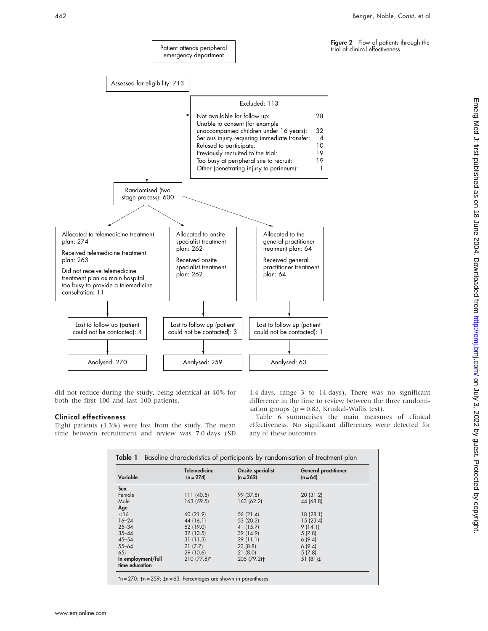



Patient attends peripheral

did not reduce during the study, being identical at 40% for both the first 100 and last 100 patients.

#### Clinical effectiveness

Eight patients (1.3%) were lost from the study. The mean time between recruitment and review was 7.0 days (SD

1.4 days, range 3 to 14 days). There was no significant difference in the time to review between the three randomisation groups ( $p = 0.82$ , Kruskal-Wallis test).

Table 6 summarises the main measures of clinical effectiveness. No significant differences were detected for any of these outcomes

| Variable                             | <b>Telemedicine</b><br>$(n = 274)$ | Onsite specialist<br>$(n = 262)$ | <b>General practitioner</b><br>$(n = 64)$ |
|--------------------------------------|------------------------------------|----------------------------------|-------------------------------------------|
| Sex                                  |                                    |                                  |                                           |
| Female                               | 111(40.5)                          | 99 (37.8)                        | 20(31.2)                                  |
| Male                                 | 163 (59.5)                         | 163 (62.2)                       | 44 (68.8)                                 |
| Age                                  |                                    |                                  |                                           |
| $<$ 16                               | 60 (21.9)                          | 56(21.4)                         | 18(28.1)                                  |
| $16 - 24$                            | 44 (16.1)                          | 53 (20.2)                        | 15(23.4)                                  |
| $25 - 34$                            | 52 (19.0)                          | 41 (15.7)                        | 9(14.1)                                   |
| $35 - 44$                            | 37(13.5)                           | 39 (14.9)                        | 5(7.8)                                    |
| $45 - 54$                            | 31(11.3)                           | 29(11.1)                         | 6(9.4)                                    |
| $55 - 64$                            | 21(7.7)                            | 23(8.8)                          | 6(9.4)                                    |
| $65+$                                | 29 (10.6)                          | 21(8.0)                          | 5(7.8)                                    |
| In employment/full<br>time education | $210(77.8)^*$                      | 205 (79.2) <sup>+</sup>          | 51 $(81)\pm$                              |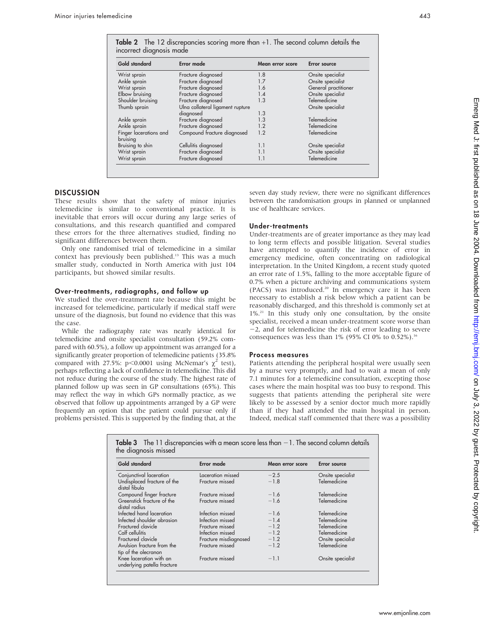| Gold standard                      | Error made                       | Mean error score | <b>Error</b> source  |
|------------------------------------|----------------------------------|------------------|----------------------|
| Wrist sprain                       | Fracture diagnosed               | 1.8              | Onsite specialist    |
| Ankle sprain                       | Fracture diagnosed               | 1.7              | Onsite specialist    |
| Wrist sprain                       | Fracture diagnosed               | 1.6              | General practitioner |
| Elbow bruising                     | Fracture diagnosed               | 1.4              | Onsite specialist    |
| Shoulder bruising                  | Fracture diagnosed               | 1.3              | Telemedicine         |
| Thumb sprain                       | Ulna collateral ligament rupture |                  | Onsite specialist    |
|                                    | diagnosed                        | 1.3              |                      |
| Ankle sprain                       | Fracture diagnosed               | 1.3              | Telemedicine         |
| Ankle sprain                       | Fracture diagnosed               | 1.2              | Telemedicine         |
| Finger lacerations and<br>bruising | Compound fracture diagnosed      | 1.2              | Telemedicine         |
| Bruising to shin                   | Cellulitis diagnosed             | 1.1              | Onsite specialist    |
| Wrist sprain                       | Fracture diagnosed               | 1.1              | Onsite specialist    |
| Wrist sprain                       | Fracture diagnosed               | 1.1              | Telemedicine         |

## DISCUSSION

These results show that the safety of minor injuries telemedicine is similar to conventional practice. It is inevitable that errors will occur during any large series of consultations, and this research quantified and compared these errors for the three alternatives studied, finding no significant differences between them.

Only one randomised trial of telemedicine in a similar context has previously been published.<sup>13</sup> This was a much smaller study, conducted in North America with just 104 participants, but showed similar results.

#### Over-treatments, radiographs, and follow up

We studied the over-treatment rate because this might be increased for telemedicine, particularly if medical staff were unsure of the diagnosis, but found no evidence that this was the case.

While the radiography rate was nearly identical for telemedicine and onsite specialist consultation (59.2% compared with 60.5%), a follow up appointment was arranged for a significantly greater proportion of telemedicine patients (35.8% compared with 27.5%: p<0.0001 using McNemar's  $\chi^2$  test), perhaps reflecting a lack of confidence in telemedicine. This did not reduce during the course of the study. The highest rate of planned follow up was seen in GP consultations (65%). This may reflect the way in which GPs normally practice, as we observed that follow up appointments arranged by a GP were frequently an option that the patient could pursue only if problems persisted. This is supported by the finding that, at the

underlying patella fracture

seven day study review, there were no significant differences between the randomisation groups in planned or unplanned use of healthcare services.

#### Under-treatments

Under-treatments are of greater importance as they may lead to long term effects and possible litigation. Several studies have attempted to quantify the incidence of error in emergency medicine, often concentrating on radiological interpretation. In the United Kingdom, a recent study quoted an error rate of 1.5%, falling to the more acceptable figure of 0.7% when a picture archiving and communications system (PACS) was introduced.<sup>20</sup> In emergency care it has been necessary to establish a risk below which a patient can be reasonably discharged, and this threshold is commonly set at  $1\%$ <sup>21</sup>. In this study only one consultation, by the onsite specialist, received a mean under-treatment score worse than  $-2$ , and for telemedicine the risk of error leading to severe consequences was less than 1% (95% CI 0% to 0.52%).<sup>16</sup>

#### Process measures

Patients attending the peripheral hospital were usually seen by a nurse very promptly, and had to wait a mean of only 7.1 minutes for a telemedicine consultation, excepting those cases where the main hospital was too busy to respond. This suggests that patients attending the peripheral site were likely to be assessed by a senior doctor much more rapidly than if they had attended the main hospital in person. Indeed, medical staff commented that there was a possibility

Table  $3$  The 11 discrepancies with a mean score less than  $-1$ . The second column details the diagnosis missed Gold standard Error made Mean error score Error source Conjunctival laceration Laceration missed 22.5 Onsite specialist Undisplaced fracture of the distal fibula Fracture missed Compound finger fracture Fracture missed  $-1.6$  Telemedicine<br>Greenstick fracture of the Fracture missed  $-1.6$  Telemedicine Greenstick fracture of the distal radius Fracture missed Infected hand laceration Infection missed  $-1.6$  Telemedicine<br>Infected shoulder abrasion Infection missed  $-1.4$  Telemedicine Infected shoulder abrasion Infection missed  $-1.4$  Telemedicine<br>
Fractured clavicle 21.4 Telemedicine Fractured clavicle Fracture missed 21.2 Telemedicine Calf cellulitis Infection missed 21.2 Telemedicine Fracture misdiagnosed  $-1.2$  Onsite specialist Avulsion fracture from the tip of the olecranon Fracture missed  $-1.2$  Telemedicine Knee laceration with an Fracture missed  $-1.1$  Onsite specialist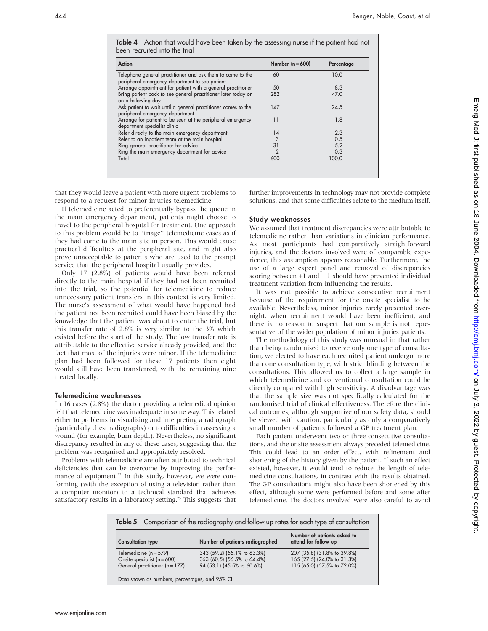Table 4 Action that would have been taken by the assessing nurse if the patient had not been recruited into the trial

| Action                                                                                                       | Number $(n = 600)$ | Percentage |
|--------------------------------------------------------------------------------------------------------------|--------------------|------------|
| Telephone general practitioner and ask them to come to the<br>peripheral emergency department to see patient | 60                 | 10.0       |
| Arrange appointment for patient with a general practitioner                                                  | 50                 | 8.3        |
| Bring patient back to see general practitioner later today or<br>on a following day                          | 282                | 47.0       |
| Ask patient to wait until a general practitioner comes to the<br>peripheral emergency department             | 147                | 24.5       |
| Arrange for patient to be seen at the peripheral emergency<br>department specialist clinic                   | 11                 | 1.8        |
| Refer directly to the main emergency department                                                              | 14                 | 2.3        |
| Refer to an inpatient team at the main hospital                                                              | 3                  | 0.5        |
| Ring general practitioner for advice                                                                         | 31                 | 5.2        |
| Ring the main emergency department for advice                                                                | $\mathcal{P}$      | 0.3        |
| Total                                                                                                        | 600                | 100.0      |

that they would leave a patient with more urgent problems to respond to a request for minor injuries telemedicine.

If telemedicine acted to preferentially bypass the queue in the main emergency department, patients might choose to travel to the peripheral hospital for treatment. One approach to this problem would be to ''triage'' telemedicine cases as if they had come to the main site in person. This would cause practical difficulties at the peripheral site, and might also prove unacceptable to patients who are used to the prompt service that the peripheral hospital usually provides.

Only 17 (2.8%) of patients would have been referred directly to the main hospital if they had not been recruited into the trial, so the potential for telemedicine to reduce unnecessary patient transfers in this context is very limited. The nurse's assessment of what would have happened had the patient not been recruited could have been biased by the knowledge that the patient was about to enter the trial, but this transfer rate of 2.8% is very similar to the 3% which existed before the start of the study. The low transfer rate is attributable to the effective service already provided, and the fact that most of the injuries were minor. If the telemedicine plan had been followed for these 17 patients then eight would still have been transferred, with the remaining nine treated locally.

#### Telemedicine weaknesses

In 16 cases (2.8%) the doctor providing a telemedical opinion felt that telemedicine was inadequate in some way. This related either to problems in visualising and interpreting a radiograph (particularly chest radiographs) or to difficulties in assessing a wound (for example, burn depth). Nevertheless, no significant discrepancy resulted in any of these cases, suggesting that the problem was recognised and appropriately resolved.

Problems with telemedicine are often attributed to technical deficiencies that can be overcome by improving the performance of equipment.<sup>22</sup> In this study, however, we were conforming (with the exception of using a television rather than a computer monitor) to a technical standard that achieves satisfactory results in a laboratory setting.<sup>23</sup> This suggests that further improvements in technology may not provide complete solutions, and that some difficulties relate to the medium itself.

#### Study weaknesses

We assumed that treatment discrepancies were attributable to telemedicine rather than variations in clinician performance. As most participants had comparatively straightforward injuries, and the doctors involved were of comparable experience, this assumption appears reasonable. Furthermore, the use of a large expert panel and removal of discrepancies scoring between  $+1$  and  $-1$  should have prevented individual treatment variation from influencing the results.

It was not possible to achieve consecutive recruitment because of the requirement for the onsite specialist to be available. Nevertheless, minor injuries rarely presented overnight, when recruitment would have been inefficient, and there is no reason to suspect that our sample is not representative of the wider population of minor injuries patients.

The methodology of this study was unusual in that rather than being randomised to receive only one type of consultation, we elected to have each recruited patient undergo more than one consultation type, with strict blinding between the consultations. This allowed us to collect a large sample in which telemedicine and conventional consultation could be directly compared with high sensitivity. A disadvantage was that the sample size was not specifically calculated for the randomised trial of clinical effectiveness. Therefore the clinical outcomes, although supportive of our safety data, should be viewed with caution, particularly as only a comparatively small number of patients followed a GP treatment plan.

Each patient underwent two or three consecutive consultations, and the onsite assessment always preceded telemedicine. This could lead to an order effect, with refinement and shortening of the history given by the patient. If such an effect existed, however, it would tend to reduce the length of telemedicine consultations, in contrast with the results obtained. The GP consultations might also have been shortened by this effect, although some were performed before and some after telemedicine. The doctors involved were also careful to avoid

| <b>Consultation type</b>           | Number of patients radiographed | Number of patients asked to<br>attend for follow up |
|------------------------------------|---------------------------------|-----------------------------------------------------|
| Telemedicine $(n = 579)$           | 343 (59.2) (55.1% to 63.3%)     | 207 (35.8) (31.8% to 39.8%)                         |
| Onsite specialist $(n = 600)$      | 363 (60.5) (56.5% to 64.4%)     | 165 (27.5) (24.0% to 31.3%)                         |
| General practitioner ( $n = 177$ ) | 94 (53.1) (45.5% to 60.6%)      | 115 (65.0) (57.5% to 72.0%)                         |